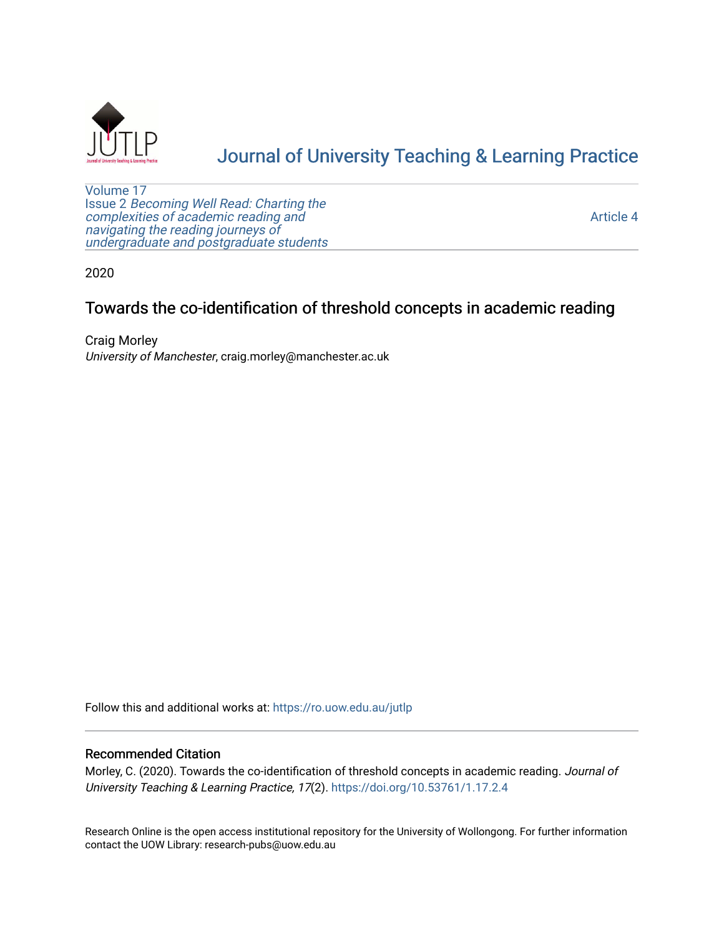

# [Journal of University Teaching & Learning Practice](https://ro.uow.edu.au/jutlp)

[Volume 17](https://ro.uow.edu.au/jutlp/vol17) Issue 2 [Becoming Well Read: Charting the](https://ro.uow.edu.au/jutlp/vol17/iss2) [complexities of academic reading and](https://ro.uow.edu.au/jutlp/vol17/iss2)  [navigating the reading journeys of](https://ro.uow.edu.au/jutlp/vol17/iss2) [undergraduate and postgraduate students](https://ro.uow.edu.au/jutlp/vol17/iss2)

[Article 4](https://ro.uow.edu.au/jutlp/vol17/iss2/4) 

2020

# Towards the co-identification of threshold concepts in academic reading

Craig Morley University of Manchester, craig.morley@manchester.ac.uk

Follow this and additional works at: [https://ro.uow.edu.au/jutlp](https://ro.uow.edu.au/jutlp?utm_source=ro.uow.edu.au%2Fjutlp%2Fvol17%2Fiss2%2F4&utm_medium=PDF&utm_campaign=PDFCoverPages) 

## Recommended Citation

Morley, C. (2020). Towards the co-identification of threshold concepts in academic reading. Journal of University Teaching & Learning Practice, 17(2).<https://doi.org/10.53761/1.17.2.4>

Research Online is the open access institutional repository for the University of Wollongong. For further information contact the UOW Library: research-pubs@uow.edu.au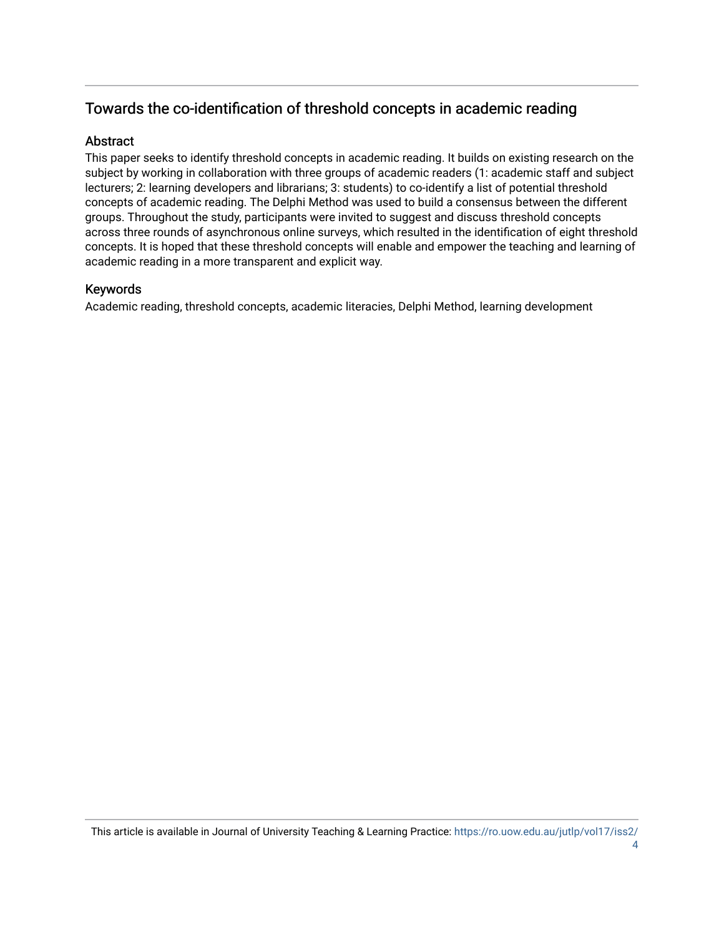# Towards the co-identification of threshold concepts in academic reading

# **Abstract**

This paper seeks to identify threshold concepts in academic reading. It builds on existing research on the subject by working in collaboration with three groups of academic readers (1: academic staff and subject lecturers; 2: learning developers and librarians; 3: students) to co-identify a list of potential threshold concepts of academic reading. The Delphi Method was used to build a consensus between the different groups. Throughout the study, participants were invited to suggest and discuss threshold concepts across three rounds of asynchronous online surveys, which resulted in the identification of eight threshold concepts. It is hoped that these threshold concepts will enable and empower the teaching and learning of academic reading in a more transparent and explicit way.

# Keywords

Academic reading, threshold concepts, academic literacies, Delphi Method, learning development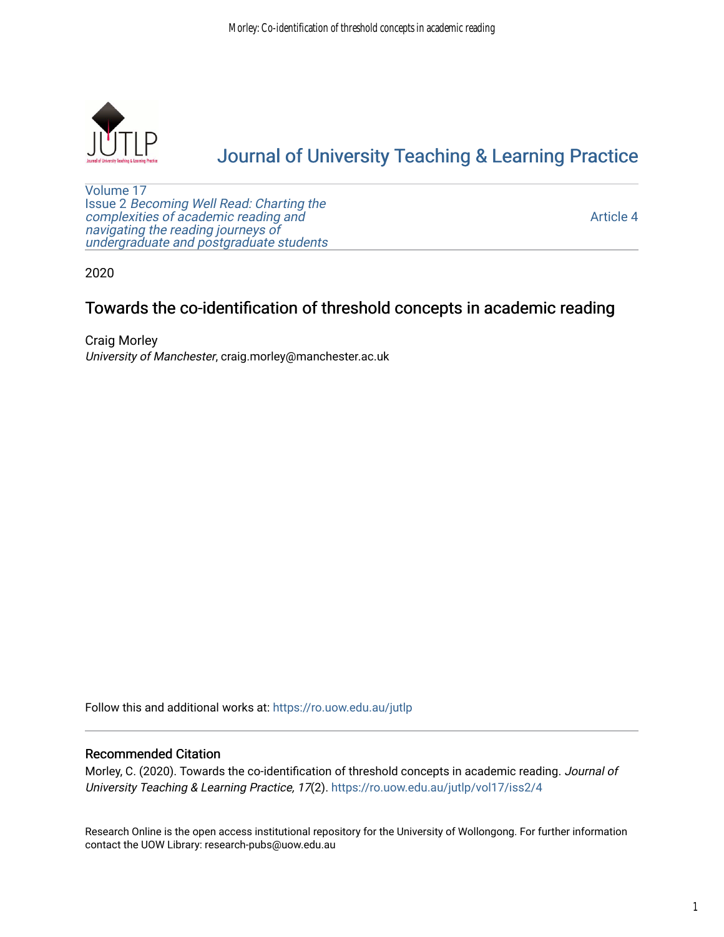

# [Journal of University Teaching & Learning Practice](https://ro.uow.edu.au/jutlp)

[Volume 17](https://ro.uow.edu.au/jutlp/vol17) Issue 2 [Becoming Well Read: Charting the](https://ro.uow.edu.au/jutlp/vol17/iss2) [complexities of academic reading and](https://ro.uow.edu.au/jutlp/vol17/iss2)  [navigating the reading journeys of](https://ro.uow.edu.au/jutlp/vol17/iss2) [undergraduate and postgraduate students](https://ro.uow.edu.au/jutlp/vol17/iss2)

[Article 4](https://ro.uow.edu.au/jutlp/vol17/iss2/4) 

2020

# Towards the co-identification of threshold concepts in academic reading

Craig Morley University of Manchester, craig.morley@manchester.ac.uk

Follow this and additional works at: [https://ro.uow.edu.au/jutlp](https://ro.uow.edu.au/jutlp?utm_source=ro.uow.edu.au%2Fjutlp%2Fvol17%2Fiss2%2F4&utm_medium=PDF&utm_campaign=PDFCoverPages) 

## Recommended Citation

Morley, C. (2020). Towards the co-identification of threshold concepts in academic reading. Journal of University Teaching & Learning Practice, 17(2). [https://ro.uow.edu.au/jutlp/vol17/iss2/4](https://ro.uow.edu.au/jutlp/vol17/iss2/4?utm_source=ro.uow.edu.au%2Fjutlp%2Fvol17%2Fiss2%2F4&utm_medium=PDF&utm_campaign=PDFCoverPages) 

Research Online is the open access institutional repository for the University of Wollongong. For further information contact the UOW Library: research-pubs@uow.edu.au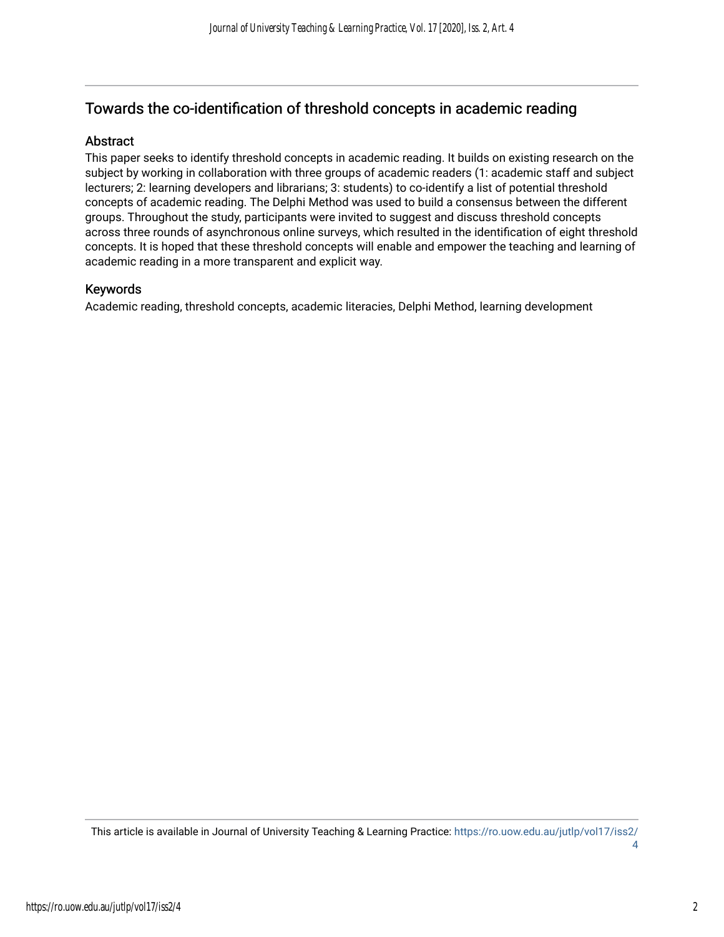# Towards the co-identification of threshold concepts in academic reading

# Abstract

This paper seeks to identify threshold concepts in academic reading. It builds on existing research on the subject by working in collaboration with three groups of academic readers (1: academic staff and subject lecturers; 2: learning developers and librarians; 3: students) to co-identify a list of potential threshold concepts of academic reading. The Delphi Method was used to build a consensus between the different groups. Throughout the study, participants were invited to suggest and discuss threshold concepts across three rounds of asynchronous online surveys, which resulted in the identification of eight threshold concepts. It is hoped that these threshold concepts will enable and empower the teaching and learning of academic reading in a more transparent and explicit way.

## Keywords

Academic reading, threshold concepts, academic literacies, Delphi Method, learning development

This article is available in Journal of University Teaching & Learning Practice: [https://ro.uow.edu.au/jutlp/vol17/iss2/](https://ro.uow.edu.au/jutlp/vol17/iss2/4) [4](https://ro.uow.edu.au/jutlp/vol17/iss2/4)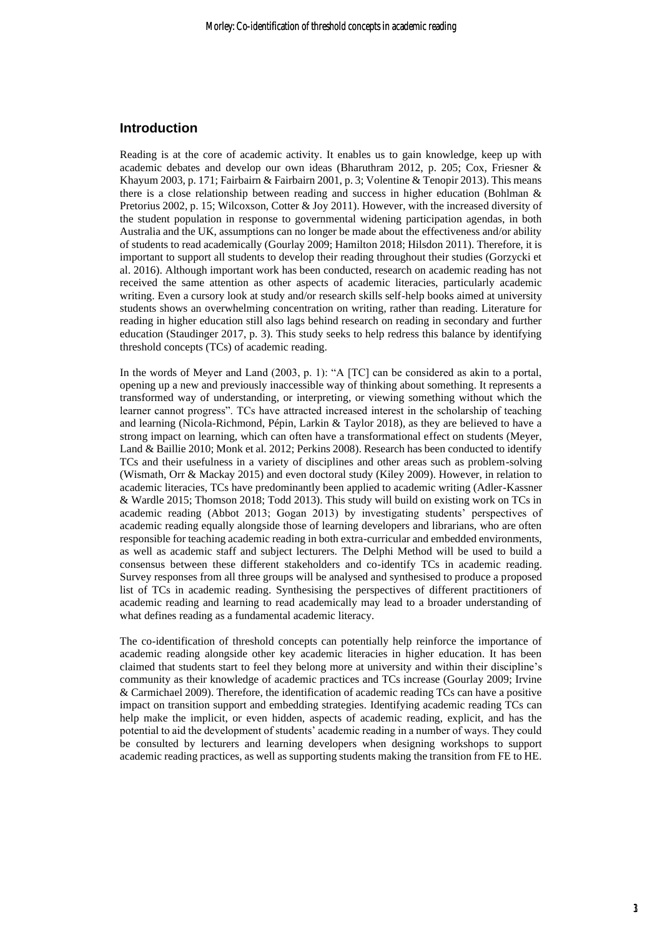#### **Introduction**

Reading is at the core of academic activity. It enables us to gain knowledge, keep up with academic debates and develop our own ideas (Bharuthram 2012, p. 205; Cox, Friesner & Khayum 2003, p. 171; Fairbairn & Fairbairn 2001, p. 3; Volentine & Tenopir 2013). This means there is a close relationship between reading and success in higher education (Bohlman & Pretorius 2002, p. 15; Wilcoxson, Cotter & Joy 2011). However, with the increased diversity of the student population in response to governmental widening participation agendas, in both Australia and the UK, assumptions can no longer be made about the effectiveness and/or ability of students to read academically (Gourlay 2009; Hamilton 2018; Hilsdon 2011). Therefore, it is important to support all students to develop their reading throughout their studies (Gorzycki et al. 2016). Although important work has been conducted, research on academic reading has not received the same attention as other aspects of academic literacies, particularly academic writing. Even a cursory look at study and/or research skills self-help books aimed at university students shows an overwhelming concentration on writing, rather than reading. Literature for reading in higher education still also lags behind research on reading in secondary and further education (Staudinger 2017, p. 3). This study seeks to help redress this balance by identifying threshold concepts (TCs) of academic reading.

In the words of Meyer and Land (2003, p. 1): "A [TC] can be considered as akin to a portal, opening up a new and previously inaccessible way of thinking about something. It represents a transformed way of understanding, or interpreting, or viewing something without which the learner cannot progress". TCs have attracted increased interest in the scholarship of teaching and learning (Nicola-Richmond, Pépin, Larkin & Taylor 2018), as they are believed to have a strong impact on learning, which can often have a transformational effect on students (Meyer, Land & Baillie 2010; Monk et al. 2012; Perkins 2008). Research has been conducted to identify TCs and their usefulness in a variety of disciplines and other areas such as problem-solving (Wismath, Orr & Mackay 2015) and even doctoral study (Kiley 2009). However, in relation to academic literacies, TCs have predominantly been applied to academic writing (Adler-Kassner & Wardle 2015; Thomson 2018; Todd 2013). This study will build on existing work on TCs in academic reading (Abbot 2013; Gogan 2013) by investigating students' perspectives of academic reading equally alongside those of learning developers and librarians, who are often responsible for teaching academic reading in both extra-curricular and embedded environments, as well as academic staff and subject lecturers. The Delphi Method will be used to build a consensus between these different stakeholders and co-identify TCs in academic reading. Survey responses from all three groups will be analysed and synthesised to produce a proposed list of TCs in academic reading. Synthesising the perspectives of different practitioners of academic reading and learning to read academically may lead to a broader understanding of what defines reading as a fundamental academic literacy.

The co-identification of threshold concepts can potentially help reinforce the importance of academic reading alongside other key academic literacies in higher education. It has been claimed that students start to feel they belong more at university and within their discipline's community as their knowledge of academic practices and TCs increase (Gourlay 2009; Irvine & Carmichael 2009). Therefore, the identification of academic reading TCs can have a positive impact on transition support and embedding strategies. Identifying academic reading TCs can help make the implicit, or even hidden, aspects of academic reading, explicit, and has the potential to aid the development of students' academic reading in a number of ways. They could be consulted by lecturers and learning developers when designing workshops to support academic reading practices, as well as supporting students making the transition from FE to HE.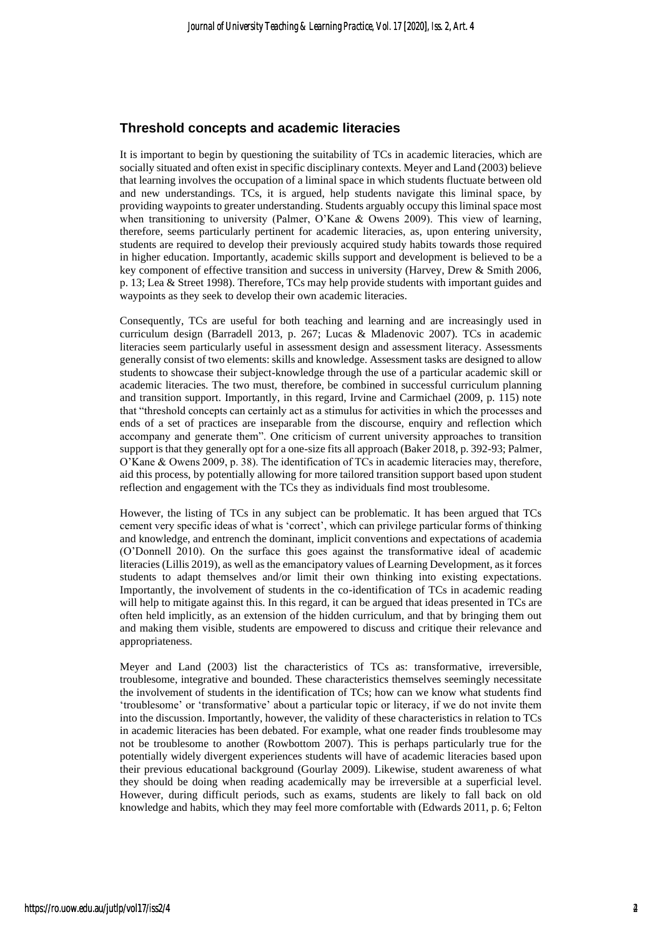#### **Threshold concepts and academic literacies**

It is important to begin by questioning the suitability of TCs in academic literacies, which are socially situated and often exist in specific disciplinary contexts. Meyer and Land (2003) believe that learning involves the occupation of a liminal space in which students fluctuate between old and new understandings. TCs, it is argued, help students navigate this liminal space, by providing waypoints to greater understanding. Students arguably occupy this liminal space most when transitioning to university (Palmer, O'Kane & Owens 2009). This view of learning, therefore, seems particularly pertinent for academic literacies, as, upon entering university, students are required to develop their previously acquired study habits towards those required in higher education. Importantly, academic skills support and development is believed to be a key component of effective transition and success in university (Harvey, Drew & Smith 2006, p. 13; Lea & Street 1998). Therefore, TCs may help provide students with important guides and waypoints as they seek to develop their own academic literacies.

Consequently, TCs are useful for both teaching and learning and are increasingly used in curriculum design (Barradell 2013, p. 267; Lucas & Mladenovic 2007). TCs in academic literacies seem particularly useful in assessment design and assessment literacy. Assessments generally consist of two elements: skills and knowledge. Assessment tasks are designed to allow students to showcase their subject-knowledge through the use of a particular academic skill or academic literacies. The two must, therefore, be combined in successful curriculum planning and transition support. Importantly, in this regard, Irvine and Carmichael (2009, p. 115) note that "threshold concepts can certainly act as a stimulus for activities in which the processes and ends of a set of practices are inseparable from the discourse, enquiry and reflection which accompany and generate them". One criticism of current university approaches to transition support is that they generally opt for a one-size fits all approach (Baker 2018, p. 392-93; Palmer, O'Kane & Owens 2009, p. 38). The identification of TCs in academic literacies may, therefore, aid this process, by potentially allowing for more tailored transition support based upon student reflection and engagement with the TCs they as individuals find most troublesome.

However, the listing of TCs in any subject can be problematic. It has been argued that TCs cement very specific ideas of what is 'correct', which can privilege particular forms of thinking and knowledge, and entrench the dominant, implicit conventions and expectations of academia (O'Donnell 2010). On the surface this goes against the transformative ideal of academic literacies (Lillis 2019), as well as the emancipatory values of Learning Development, as it forces students to adapt themselves and/or limit their own thinking into existing expectations. Importantly, the involvement of students in the co-identification of TCs in academic reading will help to mitigate against this. In this regard, it can be argued that ideas presented in TCs are often held implicitly, as an extension of the hidden curriculum, and that by bringing them out and making them visible, students are empowered to discuss and critique their relevance and appropriateness.

Meyer and Land (2003) list the characteristics of TCs as: transformative, irreversible, troublesome, integrative and bounded. These characteristics themselves seemingly necessitate the involvement of students in the identification of TCs; how can we know what students find 'troublesome' or 'transformative' about a particular topic or literacy, if we do not invite them into the discussion. Importantly, however, the validity of these characteristics in relation to TCs in academic literacies has been debated. For example, what one reader finds troublesome may not be troublesome to another (Rowbottom 2007). This is perhaps particularly true for the potentially widely divergent experiences students will have of academic literacies based upon their previous educational background (Gourlay 2009). Likewise, student awareness of what they should be doing when reading academically may be irreversible at a superficial level. However, during difficult periods, such as exams, students are likely to fall back on old knowledge and habits, which they may feel more comfortable with (Edwards 2011, p. 6; Felton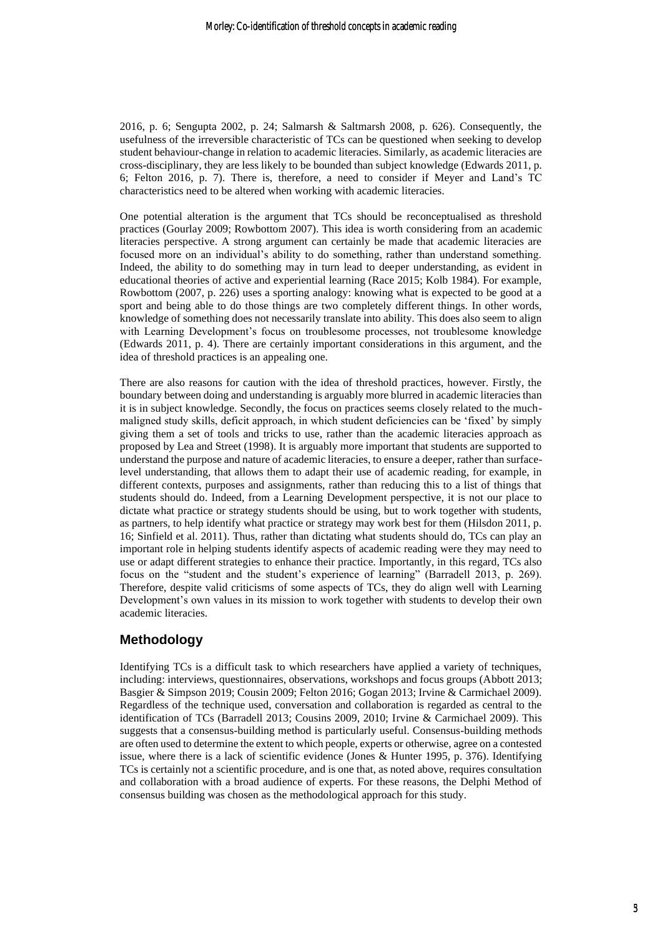2016, p. 6; Sengupta 2002, p. 24; Salmarsh & Saltmarsh 2008, p. 626). Consequently, the usefulness of the irreversible characteristic of TCs can be questioned when seeking to develop student behaviour-change in relation to academic literacies. Similarly, as academic literacies are cross-disciplinary, they are less likely to be bounded than subject knowledge (Edwards 2011, p. 6; Felton 2016, p. 7). There is, therefore, a need to consider if Meyer and Land's TC characteristics need to be altered when working with academic literacies.

One potential alteration is the argument that TCs should be reconceptualised as threshold practices (Gourlay 2009; Rowbottom 2007). This idea is worth considering from an academic literacies perspective. A strong argument can certainly be made that academic literacies are focused more on an individual's ability to do something, rather than understand something. Indeed, the ability to do something may in turn lead to deeper understanding, as evident in educational theories of active and experiential learning (Race 2015; Kolb 1984). For example, Rowbottom (2007, p. 226) uses a sporting analogy: knowing what is expected to be good at a sport and being able to do those things are two completely different things. In other words, knowledge of something does not necessarily translate into ability. This does also seem to align with Learning Development's focus on troublesome processes, not troublesome knowledge (Edwards 2011, p. 4). There are certainly important considerations in this argument, and the idea of threshold practices is an appealing one.

There are also reasons for caution with the idea of threshold practices, however. Firstly, the boundary between doing and understanding is arguably more blurred in academic literacies than it is in subject knowledge. Secondly, the focus on practices seems closely related to the muchmaligned study skills, deficit approach, in which student deficiencies can be 'fixed' by simply giving them a set of tools and tricks to use, rather than the academic literacies approach as proposed by Lea and Street (1998). It is arguably more important that students are supported to understand the purpose and nature of academic literacies, to ensure a deeper, rather than surfacelevel understanding, that allows them to adapt their use of academic reading, for example, in different contexts, purposes and assignments, rather than reducing this to a list of things that students should do. Indeed, from a Learning Development perspective, it is not our place to dictate what practice or strategy students should be using, but to work together with students, as partners, to help identify what practice or strategy may work best for them (Hilsdon 2011, p. 16; Sinfield et al. 2011). Thus, rather than dictating what students should do, TCs can play an important role in helping students identify aspects of academic reading were they may need to use or adapt different strategies to enhance their practice. Importantly, in this regard, TCs also focus on the "student and the student's experience of learning" (Barradell 2013, p. 269). Therefore, despite valid criticisms of some aspects of TCs, they do align well with Learning Development's own values in its mission to work together with students to develop their own academic literacies.

# **Methodology**

Identifying TCs is a difficult task to which researchers have applied a variety of techniques, including: interviews, questionnaires, observations, workshops and focus groups (Abbott 2013; Basgier & Simpson 2019; Cousin 2009; Felton 2016; Gogan 2013; Irvine & Carmichael 2009). Regardless of the technique used, conversation and collaboration is regarded as central to the identification of TCs (Barradell 2013; Cousins 2009, 2010; Irvine & Carmichael 2009). This suggests that a consensus-building method is particularly useful. Consensus-building methods are often used to determine the extent to which people, experts or otherwise, agree on a contested issue, where there is a lack of scientific evidence (Jones & Hunter 1995, p. 376). Identifying TCs is certainly not a scientific procedure, and is one that, as noted above, requires consultation and collaboration with a broad audience of experts. For these reasons, the Delphi Method of consensus building was chosen as the methodological approach for this study.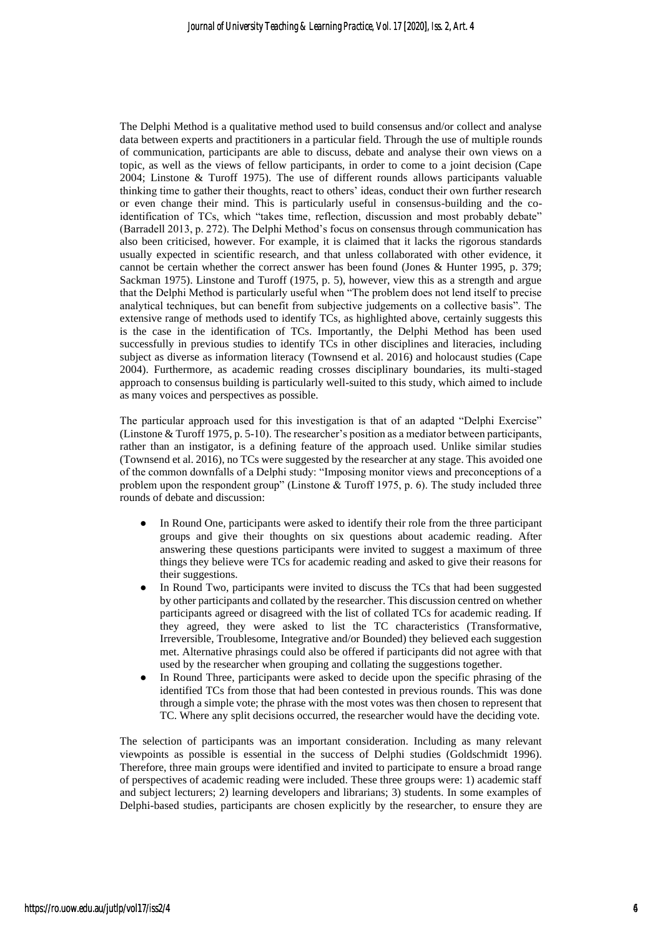The Delphi Method is a qualitative method used to build consensus and/or collect and analyse data between experts and practitioners in a particular field. Through the use of multiple rounds of communication, participants are able to discuss, debate and analyse their own views on a topic, as well as the views of fellow participants, in order to come to a joint decision (Cape 2004; Linstone & Turoff 1975). The use of different rounds allows participants valuable thinking time to gather their thoughts, react to others' ideas, conduct their own further research or even change their mind. This is particularly useful in consensus-building and the coidentification of TCs, which "takes time, reflection, discussion and most probably debate" (Barradell 2013, p. 272). The Delphi Method's focus on consensus through communication has also been criticised, however. For example, it is claimed that it lacks the rigorous standards usually expected in scientific research, and that unless collaborated with other evidence, it cannot be certain whether the correct answer has been found (Jones & Hunter 1995, p. 379; Sackman 1975). Linstone and Turoff (1975, p. 5), however, view this as a strength and argue that the Delphi Method is particularly useful when "The problem does not lend itself to precise analytical techniques, but can benefit from subjective judgements on a collective basis". The extensive range of methods used to identify TCs, as highlighted above, certainly suggests this is the case in the identification of TCs. Importantly, the Delphi Method has been used successfully in previous studies to identify TCs in other disciplines and literacies, including subject as diverse as information literacy (Townsend et al. 2016) and holocaust studies (Cape 2004). Furthermore, as academic reading crosses disciplinary boundaries, its multi-staged approach to consensus building is particularly well-suited to this study, which aimed to include as many voices and perspectives as possible.

The particular approach used for this investigation is that of an adapted "Delphi Exercise" (Linstone & Turoff 1975, p. 5-10). The researcher's position as a mediator between participants, rather than an instigator, is a defining feature of the approach used. Unlike similar studies (Townsend et al. 2016), no TCs were suggested by the researcher at any stage. This avoided one of the common downfalls of a Delphi study: "Imposing monitor views and preconceptions of a problem upon the respondent group" (Linstone & Turoff 1975, p. 6). The study included three rounds of debate and discussion:

- In Round One, participants were asked to identify their role from the three participant groups and give their thoughts on six questions about academic reading. After answering these questions participants were invited to suggest a maximum of three things they believe were TCs for academic reading and asked to give their reasons for their suggestions.
- In Round Two, participants were invited to discuss the TCs that had been suggested by other participants and collated by the researcher. This discussion centred on whether participants agreed or disagreed with the list of collated TCs for academic reading. If they agreed, they were asked to list the TC characteristics (Transformative, Irreversible, Troublesome, Integrative and/or Bounded) they believed each suggestion met. Alternative phrasings could also be offered if participants did not agree with that used by the researcher when grouping and collating the suggestions together.
- In Round Three, participants were asked to decide upon the specific phrasing of the identified TCs from those that had been contested in previous rounds. This was done through a simple vote; the phrase with the most votes was then chosen to represent that TC. Where any split decisions occurred, the researcher would have the deciding vote.

The selection of participants was an important consideration. Including as many relevant viewpoints as possible is essential in the success of Delphi studies (Goldschmidt 1996). Therefore, three main groups were identified and invited to participate to ensure a broad range of perspectives of academic reading were included. These three groups were: 1) academic staff and subject lecturers; 2) learning developers and librarians; 3) students. In some examples of Delphi-based studies, participants are chosen explicitly by the researcher, to ensure they are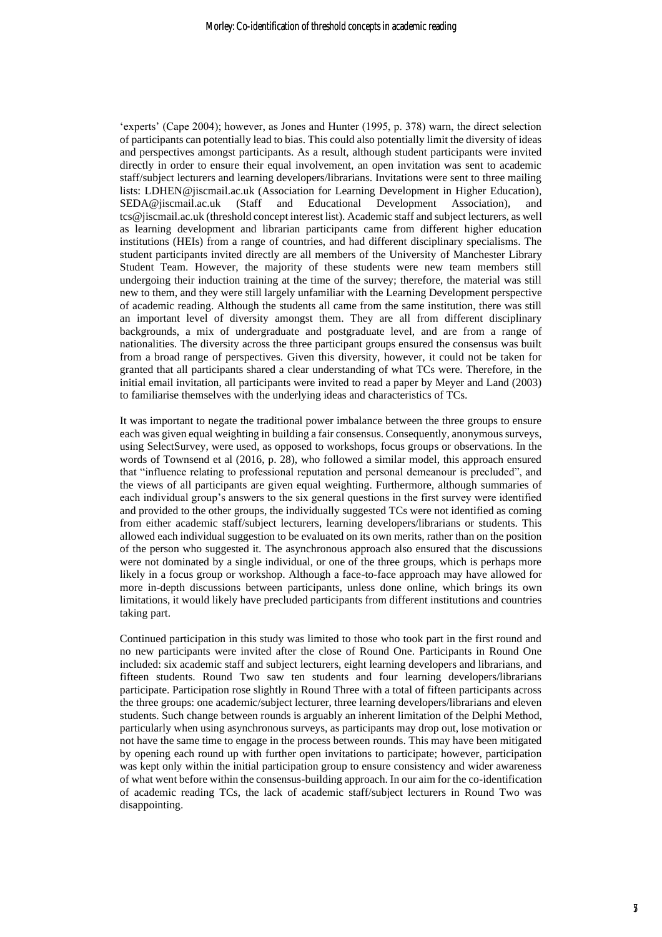'experts' (Cape 2004); however, as Jones and Hunter (1995, p. 378) warn, the direct selection of participants can potentially lead to bias. This could also potentially limit the diversity of ideas and perspectives amongst participants. As a result, although student participants were invited directly in order to ensure their equal involvement, an open invitation was sent to academic staff/subject lecturers and learning developers/librarians. Invitations were sent to three mailing lists: LDHEN@jiscmail.ac.uk (Association for Learning Development in Higher Education), SEDA@jiscmail.ac.uk (Staff and Educational Development Association), and tcs@jiscmail.ac.uk (threshold concept interest list). Academic staff and subject lecturers, as well as learning development and librarian participants came from different higher education institutions (HEIs) from a range of countries, and had different disciplinary specialisms. The student participants invited directly are all members of the University of Manchester Library Student Team. However, the majority of these students were new team members still undergoing their induction training at the time of the survey; therefore, the material was still new to them, and they were still largely unfamiliar with the Learning Development perspective of academic reading. Although the students all came from the same institution, there was still an important level of diversity amongst them. They are all from different disciplinary backgrounds, a mix of undergraduate and postgraduate level, and are from a range of nationalities. The diversity across the three participant groups ensured the consensus was built from a broad range of perspectives. Given this diversity, however, it could not be taken for granted that all participants shared a clear understanding of what TCs were. Therefore, in the initial email invitation, all participants were invited to read a paper by Meyer and Land (2003) to familiarise themselves with the underlying ideas and characteristics of TCs.

It was important to negate the traditional power imbalance between the three groups to ensure each was given equal weighting in building a fair consensus. Consequently, anonymous surveys, using SelectSurvey, were used, as opposed to workshops, focus groups or observations. In the words of Townsend et al (2016, p. 28), who followed a similar model, this approach ensured that "influence relating to professional reputation and personal demeanour is precluded", and the views of all participants are given equal weighting. Furthermore, although summaries of each individual group's answers to the six general questions in the first survey were identified and provided to the other groups, the individually suggested TCs were not identified as coming from either academic staff/subject lecturers, learning developers/librarians or students. This allowed each individual suggestion to be evaluated on its own merits, rather than on the position of the person who suggested it. The asynchronous approach also ensured that the discussions were not dominated by a single individual, or one of the three groups, which is perhaps more likely in a focus group or workshop. Although a face-to-face approach may have allowed for more in-depth discussions between participants, unless done online, which brings its own limitations, it would likely have precluded participants from different institutions and countries taking part.

Continued participation in this study was limited to those who took part in the first round and no new participants were invited after the close of Round One. Participants in Round One included: six academic staff and subject lecturers, eight learning developers and librarians, and fifteen students. Round Two saw ten students and four learning developers/librarians participate. Participation rose slightly in Round Three with a total of fifteen participants across the three groups: one academic/subject lecturer, three learning developers/librarians and eleven students. Such change between rounds is arguably an inherent limitation of the Delphi Method, particularly when using asynchronous surveys, as participants may drop out, lose motivation or not have the same time to engage in the process between rounds. This may have been mitigated by opening each round up with further open invitations to participate; however, participation was kept only within the initial participation group to ensure consistency and wider awareness of what went before within the consensus-building approach. In our aim for the co-identification of academic reading TCs, the lack of academic staff/subject lecturers in Round Two was disappointing.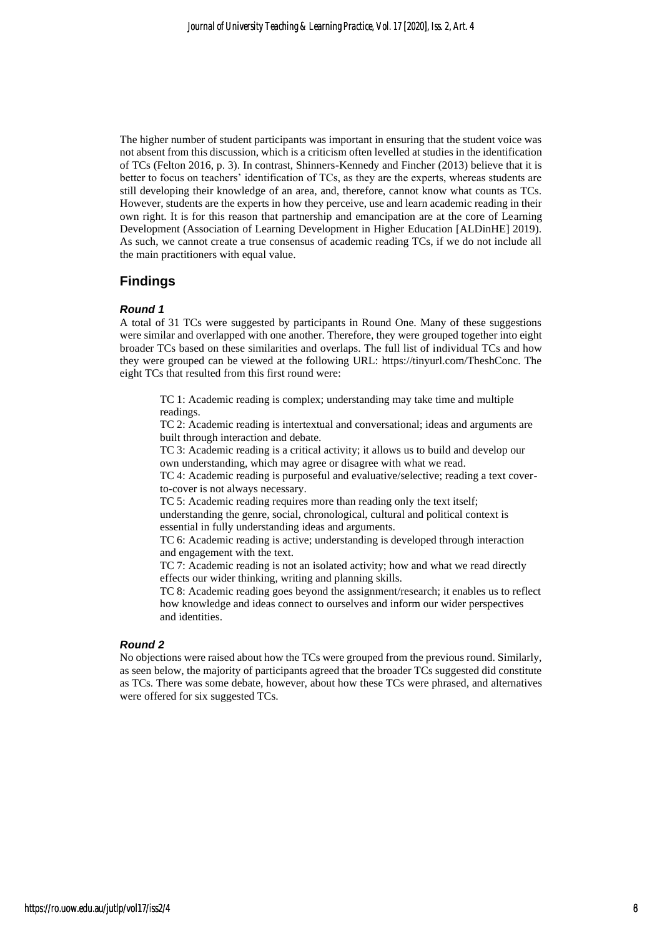The higher number of student participants was important in ensuring that the student voice was not absent from this discussion, which is a criticism often levelled at studies in the identification of TCs (Felton 2016, p. 3). In contrast, Shinners-Kennedy and Fincher (2013) believe that it is better to focus on teachers' identification of TCs, as they are the experts, whereas students are still developing their knowledge of an area, and, therefore, cannot know what counts as TCs. However, students are the experts in how they perceive, use and learn academic reading in their own right. It is for this reason that partnership and emancipation are at the core of Learning Development (Association of Learning Development in Higher Education [ALDinHE] 2019). As such, we cannot create a true consensus of academic reading TCs, if we do not include all the main practitioners with equal value.

# **Findings**

#### *Round 1*

A total of 31 TCs were suggested by participants in Round One. Many of these suggestions were similar and overlapped with one another. Therefore, they were grouped together into eight broader TCs based on these similarities and overlaps. The full list of individual TCs and how they were grouped can be viewed at the following URL: https://tinyurl.com/TheshConc. The eight TCs that resulted from this first round were:

TC 1: Academic reading is complex; understanding may take time and multiple readings.

TC 2: Academic reading is intertextual and conversational; ideas and arguments are built through interaction and debate.

TC 3: Academic reading is a critical activity; it allows us to build and develop our own understanding, which may agree or disagree with what we read.

TC 4: Academic reading is purposeful and evaluative/selective; reading a text coverto-cover is not always necessary.

TC 5: Academic reading requires more than reading only the text itself; understanding the genre, social, chronological, cultural and political context is essential in fully understanding ideas and arguments.

TC 6: Academic reading is active; understanding is developed through interaction and engagement with the text.

TC 7: Academic reading is not an isolated activity; how and what we read directly effects our wider thinking, writing and planning skills.

TC 8: Academic reading goes beyond the assignment/research; it enables us to reflect how knowledge and ideas connect to ourselves and inform our wider perspectives and identities.

#### *Round 2*

No objections were raised about how the TCs were grouped from the previous round. Similarly, as seen below, the majority of participants agreed that the broader TCs suggested did constitute as TCs. There was some debate, however, about how these TCs were phrased, and alternatives were offered for six suggested TCs.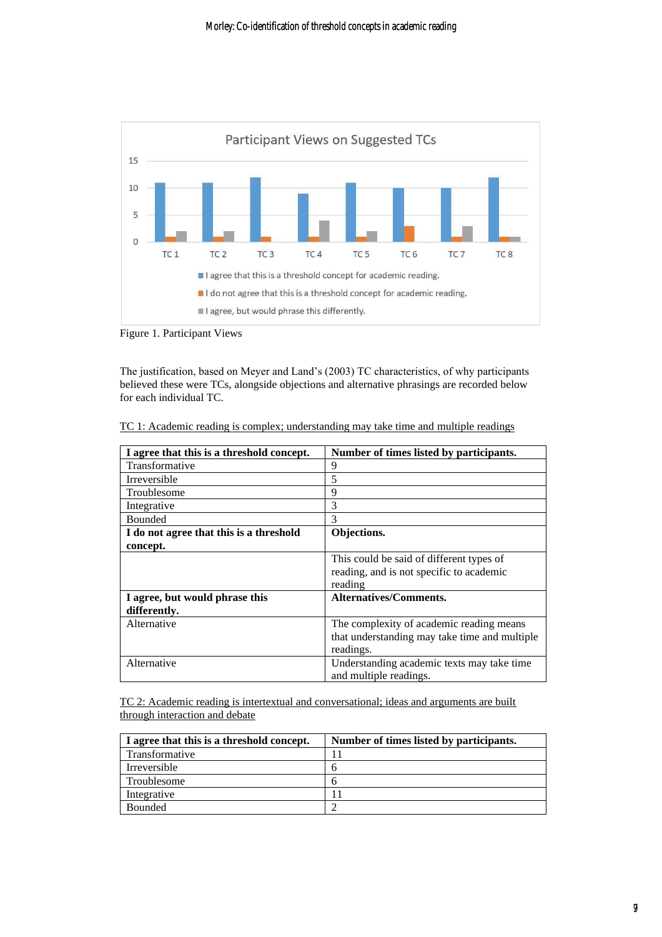

Figure 1. Participant Views

The justification, based on Meyer and Land's (2003) TC characteristics, of why participants believed these were TCs, alongside objections and alternative phrasings are recorded below for each individual TC.

|--|

| I agree that this is a threshold concept. | Number of times listed by participants.       |
|-------------------------------------------|-----------------------------------------------|
| Transformative                            | 9                                             |
| Irreversible                              | 5                                             |
| Troublesome                               | 9                                             |
| Integrative                               | 3                                             |
| <b>Bounded</b>                            | 3                                             |
| I do not agree that this is a threshold   | Objections.                                   |
| concept.                                  |                                               |
|                                           | This could be said of different types of      |
|                                           | reading, and is not specific to academic      |
|                                           | reading                                       |
| I agree, but would phrase this            | Alternatives/Comments.                        |
| differently.                              |                                               |
| Alternative                               | The complexity of academic reading means      |
|                                           | that understanding may take time and multiple |
|                                           | readings.                                     |
| Alternative                               | Understanding academic texts may take time    |
|                                           | and multiple readings.                        |

TC 2: Academic reading is intertextual and conversational; ideas and arguments are built through interaction and debate

| I agree that this is a threshold concept. | Number of times listed by participants. |
|-------------------------------------------|-----------------------------------------|
| Transformative                            |                                         |
| Irreversible                              |                                         |
| Troublesome                               |                                         |
| Integrative                               |                                         |
| <b>Bounded</b>                            |                                         |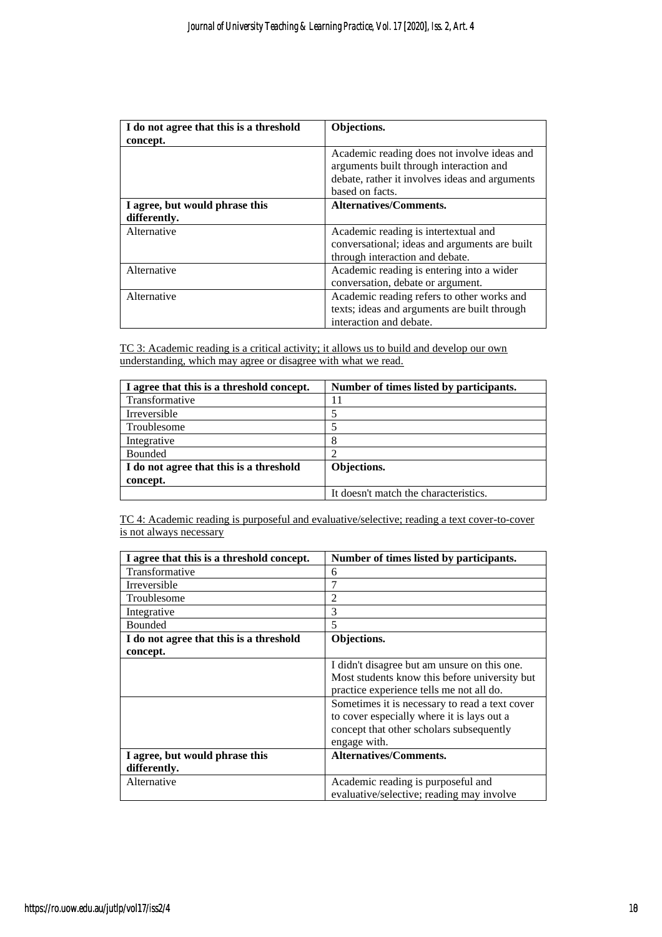| I do not agree that this is a threshold<br>concept. | Objections.                                                                                                                                                 |
|-----------------------------------------------------|-------------------------------------------------------------------------------------------------------------------------------------------------------------|
|                                                     | Academic reading does not involve ideas and<br>arguments built through interaction and<br>debate, rather it involves ideas and arguments<br>based on facts. |
| I agree, but would phrase this<br>differently.      | <b>Alternatives/Comments.</b>                                                                                                                               |
| Alternative                                         | Academic reading is intertextual and<br>conversational; ideas and arguments are built<br>through interaction and debate.                                    |
| Alternative                                         | Academic reading is entering into a wider<br>conversation, debate or argument.                                                                              |
| Alternative                                         | Academic reading refers to other works and<br>texts; ideas and arguments are built through<br>interaction and debate.                                       |

TC 3: Academic reading is a critical activity; it allows us to build and develop our own understanding, which may agree or disagree with what we read.

| I agree that this is a threshold concept. | Number of times listed by participants. |
|-------------------------------------------|-----------------------------------------|
| Transformative                            | 11                                      |
| Irreversible                              |                                         |
| Troublesome                               |                                         |
| Integrative                               | 8                                       |
| Bounded                                   |                                         |
| I do not agree that this is a threshold   | Objections.                             |
| concept.                                  |                                         |
|                                           | It doesn't match the characteristics.   |

TC 4: Academic reading is purposeful and evaluative/selective; reading a text cover-to-cover is not always necessary

| I agree that this is a threshold concept. | Number of times listed by participants.        |
|-------------------------------------------|------------------------------------------------|
| Transformative                            | 6                                              |
| <b>Irreversible</b>                       | 7                                              |
| Troublesome                               | $\overline{2}$                                 |
| Integrative                               | 3                                              |
| <b>Bounded</b>                            | 5                                              |
| I do not agree that this is a threshold   | Objections.                                    |
| concept.                                  |                                                |
|                                           | I didn't disagree but am unsure on this one.   |
|                                           | Most students know this before university but  |
|                                           | practice experience tells me not all do.       |
|                                           | Sometimes it is necessary to read a text cover |
|                                           | to cover especially where it is lays out a     |
|                                           | concept that other scholars subsequently       |
|                                           | engage with.                                   |
| I agree, but would phrase this            | Alternatives/Comments.                         |
| differently.                              |                                                |
| Alternative                               | Academic reading is purposeful and             |
|                                           | evaluative/selective; reading may involve      |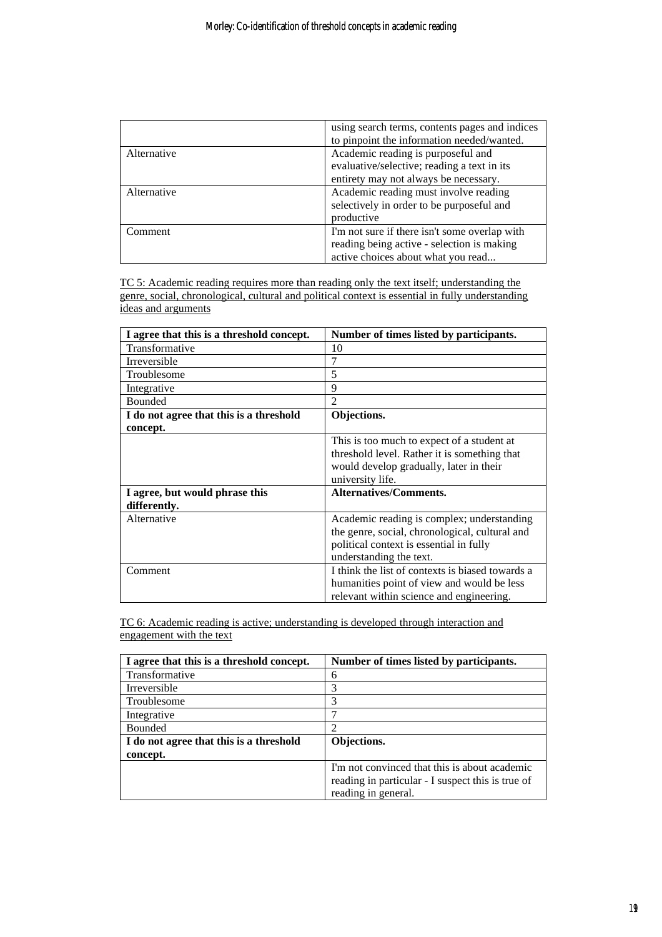|             | using search terms, contents pages and indices<br>to pinpoint the information needed/wanted. |
|-------------|----------------------------------------------------------------------------------------------|
| Alternative | Academic reading is purposeful and                                                           |
|             | evaluative/selective; reading a text in its                                                  |
|             | entirety may not always be necessary.                                                        |
| Alternative | Academic reading must involve reading                                                        |
|             | selectively in order to be purposeful and                                                    |
|             | productive                                                                                   |
| Comment     | I'm not sure if there isn't some overlap with                                                |
|             | reading being active - selection is making                                                   |
|             | active choices about what you read                                                           |

TC 5: Academic reading requires more than reading only the text itself; understanding the genre, social, chronological, cultural and political context is essential in fully understanding ideas and arguments

| I agree that this is a threshold concept. | Number of times listed by participants.          |
|-------------------------------------------|--------------------------------------------------|
| Transformative                            | 10                                               |
| <b>Irreversible</b>                       | 7                                                |
| Troublesome                               | 5                                                |
| Integrative                               | 9                                                |
| <b>Bounded</b>                            | $\overline{2}$                                   |
| I do not agree that this is a threshold   | Objections.                                      |
| concept.                                  |                                                  |
|                                           | This is too much to expect of a student at       |
|                                           | threshold level. Rather it is something that     |
|                                           | would develop gradually, later in their          |
|                                           | university life.                                 |
| I agree, but would phrase this            | <b>Alternatives/Comments.</b>                    |
| differently.                              |                                                  |
| Alternative                               | Academic reading is complex; understanding       |
|                                           | the genre, social, chronological, cultural and   |
|                                           | political context is essential in fully          |
|                                           | understanding the text.                          |
| Comment                                   | I think the list of contexts is biased towards a |
|                                           | humanities point of view and would be less       |
|                                           | relevant within science and engineering.         |

TC 6: Academic reading is active; understanding is developed through interaction and engagement with the text

| I agree that this is a threshold concept. | Number of times listed by participants.           |
|-------------------------------------------|---------------------------------------------------|
| Transformative                            | 6                                                 |
| Irreversible                              | 3                                                 |
| Troublesome                               | 3                                                 |
| Integrative                               |                                                   |
| Bounded                                   |                                                   |
| I do not agree that this is a threshold   | Objections.                                       |
| concept.                                  |                                                   |
|                                           | I'm not convinced that this is about academic     |
|                                           | reading in particular - I suspect this is true of |
|                                           | reading in general.                               |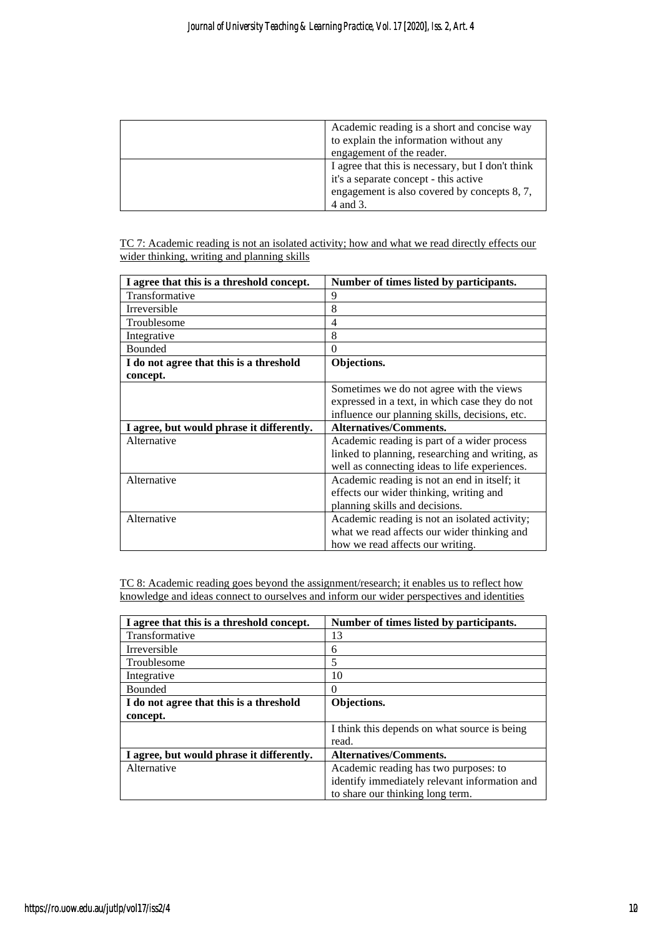| Academic reading is a short and concise way<br>to explain the information without any<br>engagement of the reader.                                     |
|--------------------------------------------------------------------------------------------------------------------------------------------------------|
| I agree that this is necessary, but I don't think<br>it's a separate concept - this active<br>engagement is also covered by concepts 8, 7,<br>4 and 3. |

TC 7: Academic reading is not an isolated activity; how and what we read directly effects our wider thinking, writing and planning skills

| I agree that this is a threshold concept. | Number of times listed by participants.         |
|-------------------------------------------|-------------------------------------------------|
| Transformative                            | 9                                               |
| <b>Irreversible</b>                       | 8                                               |
| Troublesome                               | 4                                               |
| Integrative                               | 8                                               |
| <b>Bounded</b>                            | $\theta$                                        |
| I do not agree that this is a threshold   | Objections.                                     |
| concept.                                  |                                                 |
|                                           | Sometimes we do not agree with the views        |
|                                           | expressed in a text, in which case they do not  |
|                                           | influence our planning skills, decisions, etc.  |
| I agree, but would phrase it differently. | <b>Alternatives/Comments.</b>                   |
| Alternative                               | Academic reading is part of a wider process     |
|                                           | linked to planning, researching and writing, as |
|                                           | well as connecting ideas to life experiences.   |
| Alternative                               | Academic reading is not an end in itself; it    |
|                                           | effects our wider thinking, writing and         |
|                                           | planning skills and decisions.                  |
| Alternative                               | Academic reading is not an isolated activity;   |
|                                           | what we read affects our wider thinking and     |
|                                           | how we read affects our writing.                |

TC 8: Academic reading goes beyond the assignment/research; it enables us to reflect how knowledge and ideas connect to ourselves and inform our wider perspectives and identities

| I agree that this is a threshold concept. | Number of times listed by participants.       |
|-------------------------------------------|-----------------------------------------------|
| Transformative                            | 13                                            |
| Irreversible                              | 6                                             |
| Troublesome                               | 5                                             |
| Integrative                               | 10                                            |
| <b>Bounded</b>                            | $\Omega$                                      |
| I do not agree that this is a threshold   | Objections.                                   |
| concept.                                  |                                               |
|                                           | I think this depends on what source is being  |
|                                           | read.                                         |
| I agree, but would phrase it differently. | <b>Alternatives/Comments.</b>                 |
| Alternative                               | Academic reading has two purposes: to         |
|                                           | identify immediately relevant information and |
|                                           | to share our thinking long term.              |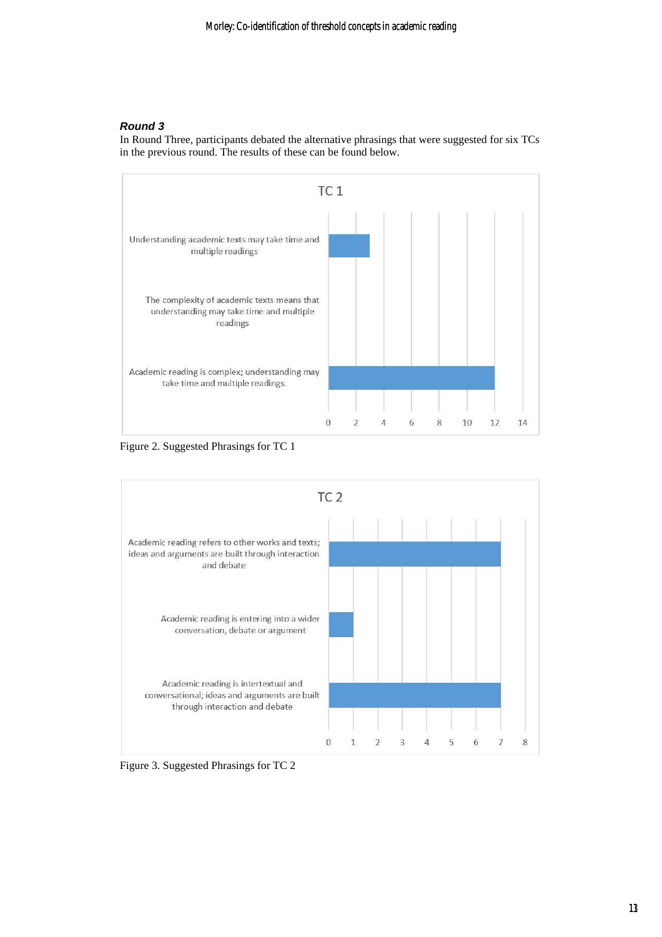### *Round 3*

In Round Three, participants debated the alternative phrasings that were suggested for six TCs in the previous round. The results of these can be found below.



Figure 2. Suggested Phrasings for TC 1



Figure 3. Suggested Phrasings for TC 2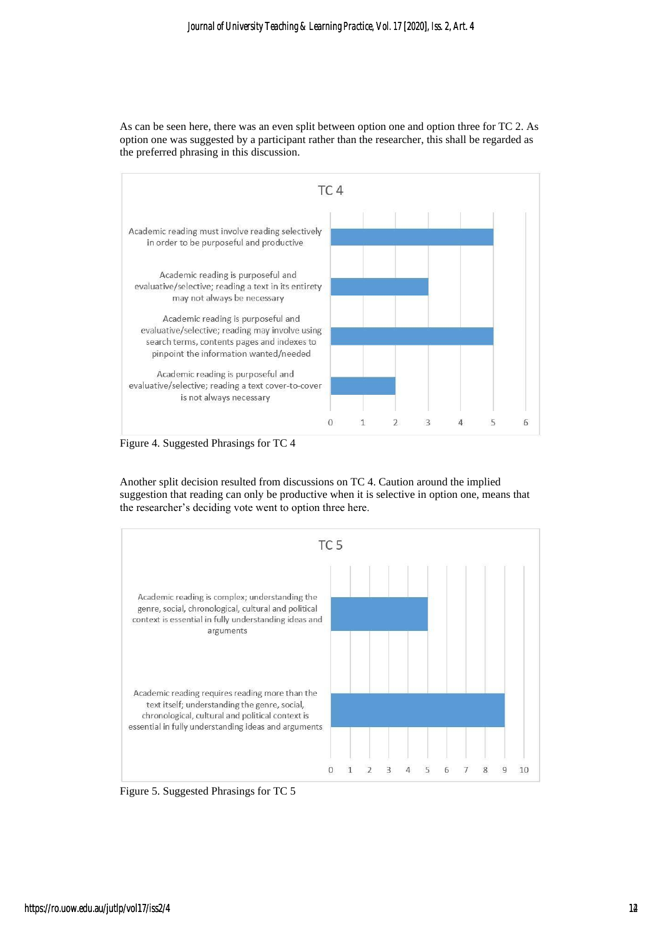As can be seen here, there was an even split between option one and option three for TC 2. As option one was suggested by a participant rather than the researcher, this shall be regarded as the preferred phrasing in this discussion.



Figure 4. Suggested Phrasings for TC 4

Another split decision resulted from discussions on TC 4. Caution around the implied suggestion that reading can only be productive when it is selective in option one, means that the researcher's deciding vote went to option three here.



Figure 5. Suggested Phrasings for TC 5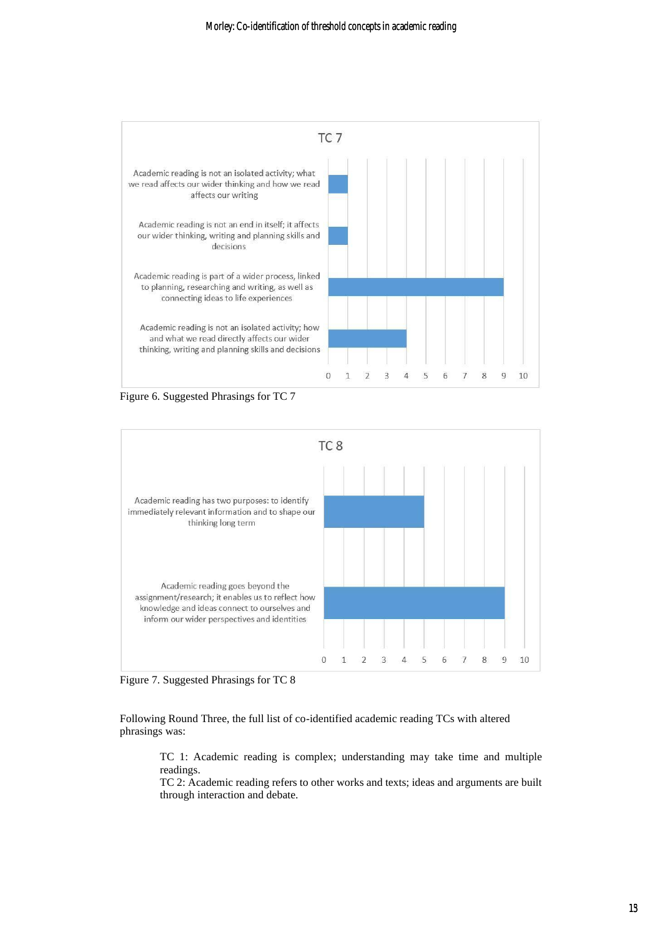

Figure 6. Suggested Phrasings for TC 7



Figure 7. Suggested Phrasings for TC 8

Following Round Three, the full list of co-identified academic reading TCs with altered phrasings was:

TC 1: Academic reading is complex; understanding may take time and multiple readings.

TC 2: Academic reading refers to other works and texts; ideas and arguments are built through interaction and debate.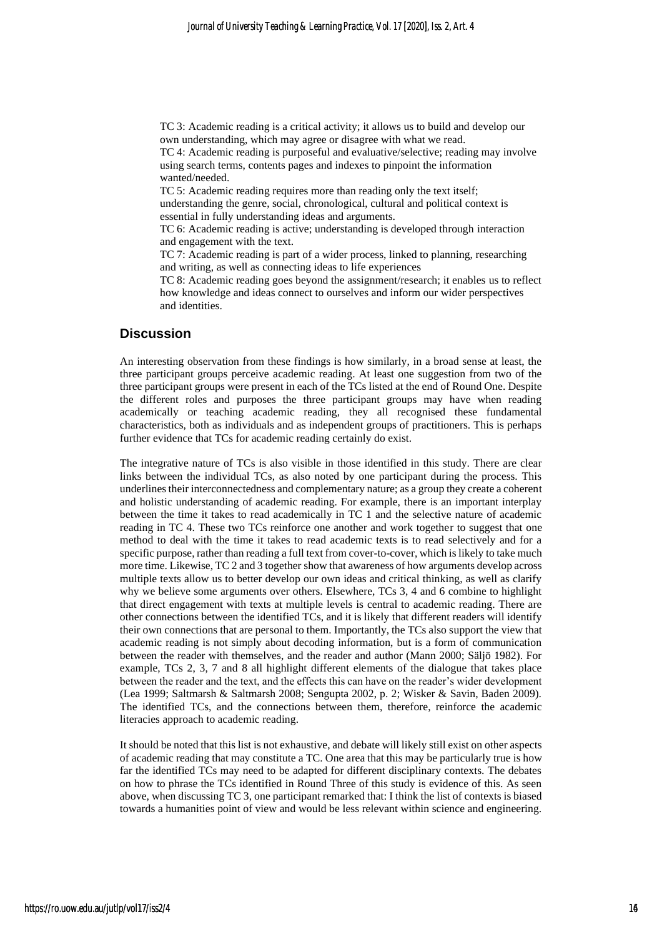TC 3: Academic reading is a critical activity; it allows us to build and develop our own understanding, which may agree or disagree with what we read.

TC 4: Academic reading is purposeful and evaluative/selective; reading may involve using search terms, contents pages and indexes to pinpoint the information wanted/needed.

TC 5: Academic reading requires more than reading only the text itself;

understanding the genre, social, chronological, cultural and political context is essential in fully understanding ideas and arguments.

TC 6: Academic reading is active; understanding is developed through interaction and engagement with the text.

TC 7: Academic reading is part of a wider process, linked to planning, researching and writing, as well as connecting ideas to life experiences

TC 8: Academic reading goes beyond the assignment/research; it enables us to reflect how knowledge and ideas connect to ourselves and inform our wider perspectives and identities.

#### **Discussion**

An interesting observation from these findings is how similarly, in a broad sense at least, the three participant groups perceive academic reading. At least one suggestion from two of the three participant groups were present in each of the TCs listed at the end of Round One. Despite the different roles and purposes the three participant groups may have when reading academically or teaching academic reading, they all recognised these fundamental characteristics, both as individuals and as independent groups of practitioners. This is perhaps further evidence that TCs for academic reading certainly do exist.

The integrative nature of TCs is also visible in those identified in this study. There are clear links between the individual TCs, as also noted by one participant during the process. This underlines their interconnectedness and complementary nature; as a group they create a coherent and holistic understanding of academic reading. For example, there is an important interplay between the time it takes to read academically in TC 1 and the selective nature of academic reading in TC 4. These two TCs reinforce one another and work together to suggest that one method to deal with the time it takes to read academic texts is to read selectively and for a specific purpose, rather than reading a full text from cover-to-cover, which is likely to take much more time. Likewise, TC 2 and 3 together show that awareness of how arguments develop across multiple texts allow us to better develop our own ideas and critical thinking, as well as clarify why we believe some arguments over others. Elsewhere, TCs 3, 4 and 6 combine to highlight that direct engagement with texts at multiple levels is central to academic reading. There are other connections between the identified TCs, and it is likely that different readers will identify their own connections that are personal to them. Importantly, the TCs also support the view that academic reading is not simply about decoding information, but is a form of communication between the reader with themselves, and the reader and author (Mann 2000; Säljö 1982). For example, TCs 2, 3, 7 and 8 all highlight different elements of the dialogue that takes place between the reader and the text, and the effects this can have on the reader's wider development (Lea 1999; Saltmarsh & Saltmarsh 2008; Sengupta 2002, p. 2; Wisker & Savin, Baden 2009). The identified TCs, and the connections between them, therefore, reinforce the academic literacies approach to academic reading.

It should be noted that this list is not exhaustive, and debate will likely still exist on other aspects of academic reading that may constitute a TC. One area that this may be particularly true is how far the identified TCs may need to be adapted for different disciplinary contexts. The debates on how to phrase the TCs identified in Round Three of this study is evidence of this. As seen above, when discussing TC 3, one participant remarked that: I think the list of contexts is biased towards a humanities point of view and would be less relevant within science and engineering.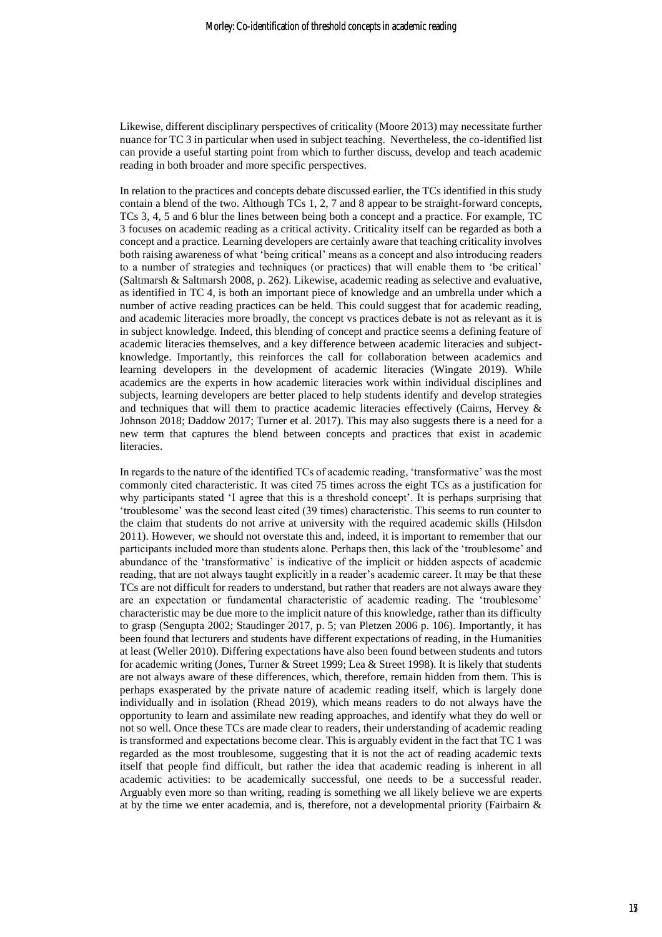Likewise, different disciplinary perspectives of criticality (Moore 2013) may necessitate further nuance for TC 3 in particular when used in subject teaching. Nevertheless, the co-identified list can provide a useful starting point from which to further discuss, develop and teach academic reading in both broader and more specific perspectives.

In relation to the practices and concepts debate discussed earlier, the TCs identified in this study contain a blend of the two. Although TCs 1, 2, 7 and 8 appear to be straight-forward concepts, TCs 3, 4, 5 and 6 blur the lines between being both a concept and a practice. For example, TC 3 focuses on academic reading as a critical activity. Criticality itself can be regarded as both a concept and a practice. Learning developers are certainly aware that teaching criticality involves both raising awareness of what 'being critical' means as a concept and also introducing readers to a number of strategies and techniques (or practices) that will enable them to 'be critical' (Saltmarsh & Saltmarsh 2008, p. 262). Likewise, academic reading as selective and evaluative, as identified in TC 4, is both an important piece of knowledge and an umbrella under which a number of active reading practices can be held. This could suggest that for academic reading, and academic literacies more broadly, the concept vs practices debate is not as relevant as it is in subject knowledge. Indeed, this blending of concept and practice seems a defining feature of academic literacies themselves, and a key difference between academic literacies and subjectknowledge. Importantly, this reinforces the call for collaboration between academics and learning developers in the development of academic literacies (Wingate 2019). While academics are the experts in how academic literacies work within individual disciplines and subjects, learning developers are better placed to help students identify and develop strategies and techniques that will them to practice academic literacies effectively (Cairns, Hervey & Johnson 2018; Daddow 2017; Turner et al. 2017). This may also suggests there is a need for a new term that captures the blend between concepts and practices that exist in academic literacies.

In regards to the nature of the identified TCs of academic reading, 'transformative' was the most commonly cited characteristic. It was cited 75 times across the eight TCs as a justification for why participants stated 'I agree that this is a threshold concept'. It is perhaps surprising that 'troublesome' was the second least cited (39 times) characteristic. This seems to run counter to the claim that students do not arrive at university with the required academic skills (Hilsdon 2011). However, we should not overstate this and, indeed, it is important to remember that our participants included more than students alone. Perhaps then, this lack of the 'troublesome' and abundance of the 'transformative' is indicative of the implicit or hidden aspects of academic reading, that are not always taught explicitly in a reader's academic career. It may be that these TCs are not difficult for readers to understand, but rather that readers are not always aware they are an expectation or fundamental characteristic of academic reading. The 'troublesome' characteristic may be due more to the implicit nature of this knowledge, rather than its difficulty to grasp (Sengupta 2002; Staudinger 2017, p. 5; van Pletzen 2006 p. 106). Importantly, it has been found that lecturers and students have different expectations of reading, in the Humanities at least (Weller 2010). Differing expectations have also been found between students and tutors for academic writing (Jones, Turner & Street 1999; Lea & Street 1998). It is likely that students are not always aware of these differences, which, therefore, remain hidden from them. This is perhaps exasperated by the private nature of academic reading itself, which is largely done individually and in isolation (Rhead 2019), which means readers to do not always have the opportunity to learn and assimilate new reading approaches, and identify what they do well or not so well. Once these TCs are made clear to readers, their understanding of academic reading is transformed and expectations become clear. This is arguably evident in the fact that TC 1 was regarded as the most troublesome, suggesting that it is not the act of reading academic texts itself that people find difficult, but rather the idea that academic reading is inherent in all academic activities: to be academically successful, one needs to be a successful reader. Arguably even more so than writing, reading is something we all likely believe we are experts at by the time we enter academia, and is, therefore, not a developmental priority (Fairbairn &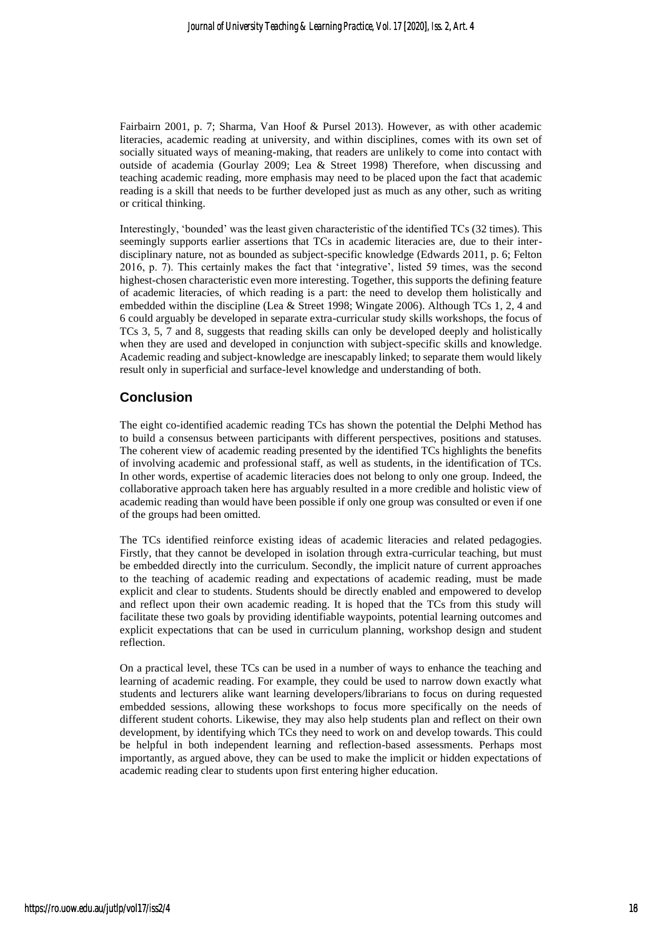Fairbairn 2001, p. 7; Sharma, Van Hoof & Pursel 2013). However, as with other academic literacies, academic reading at university, and within disciplines, comes with its own set of socially situated ways of meaning-making, that readers are unlikely to come into contact with outside of academia (Gourlay 2009; Lea & Street 1998) Therefore, when discussing and teaching academic reading, more emphasis may need to be placed upon the fact that academic reading is a skill that needs to be further developed just as much as any other, such as writing or critical thinking.

Interestingly, 'bounded' was the least given characteristic of the identified TCs (32 times). This seemingly supports earlier assertions that TCs in academic literacies are, due to their interdisciplinary nature, not as bounded as subject-specific knowledge (Edwards 2011, p. 6; Felton 2016, p. 7). This certainly makes the fact that 'integrative', listed 59 times, was the second highest-chosen characteristic even more interesting. Together, this supports the defining feature of academic literacies, of which reading is a part: the need to develop them holistically and embedded within the discipline (Lea & Street 1998; Wingate 2006). Although TCs 1, 2, 4 and 6 could arguably be developed in separate extra-curricular study skills workshops, the focus of TCs 3, 5, 7 and 8, suggests that reading skills can only be developed deeply and holistically when they are used and developed in conjunction with subject-specific skills and knowledge. Academic reading and subject-knowledge are inescapably linked; to separate them would likely result only in superficial and surface-level knowledge and understanding of both.

# **Conclusion**

The eight co-identified academic reading TCs has shown the potential the Delphi Method has to build a consensus between participants with different perspectives, positions and statuses. The coherent view of academic reading presented by the identified TCs highlights the benefits of involving academic and professional staff, as well as students, in the identification of TCs. In other words, expertise of academic literacies does not belong to only one group. Indeed, the collaborative approach taken here has arguably resulted in a more credible and holistic view of academic reading than would have been possible if only one group was consulted or even if one of the groups had been omitted.

The TCs identified reinforce existing ideas of academic literacies and related pedagogies. Firstly, that they cannot be developed in isolation through extra-curricular teaching, but must be embedded directly into the curriculum. Secondly, the implicit nature of current approaches to the teaching of academic reading and expectations of academic reading, must be made explicit and clear to students. Students should be directly enabled and empowered to develop and reflect upon their own academic reading. It is hoped that the TCs from this study will facilitate these two goals by providing identifiable waypoints, potential learning outcomes and explicit expectations that can be used in curriculum planning, workshop design and student reflection.

On a practical level, these TCs can be used in a number of ways to enhance the teaching and learning of academic reading. For example, they could be used to narrow down exactly what students and lecturers alike want learning developers/librarians to focus on during requested embedded sessions, allowing these workshops to focus more specifically on the needs of different student cohorts. Likewise, they may also help students plan and reflect on their own development, by identifying which TCs they need to work on and develop towards. This could be helpful in both independent learning and reflection-based assessments. Perhaps most importantly, as argued above, they can be used to make the implicit or hidden expectations of academic reading clear to students upon first entering higher education.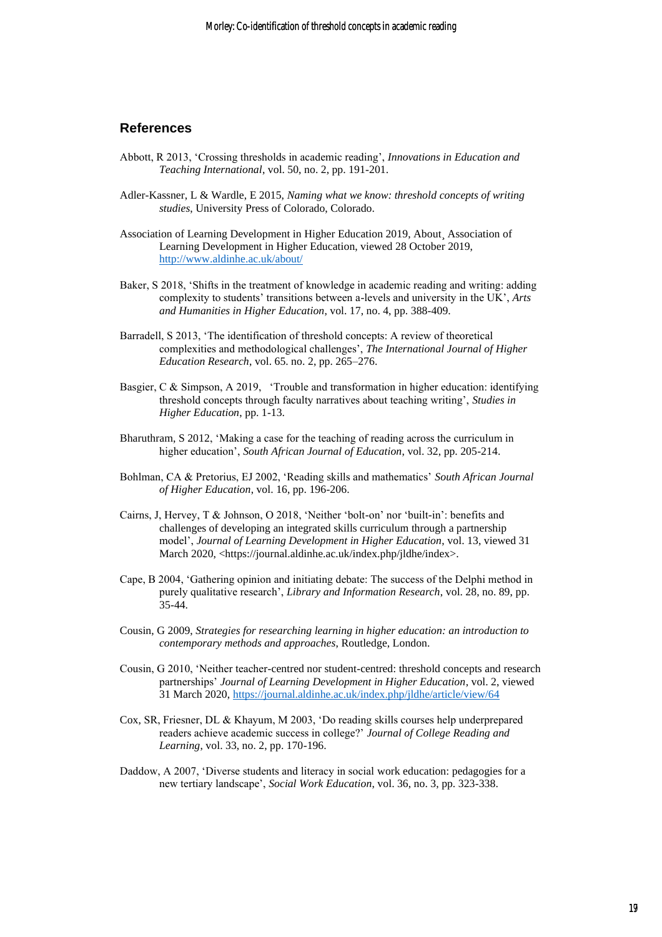#### **References**

- Abbott, R 2013, 'Crossing thresholds in academic reading', *Innovations in Education and Teaching International*, vol. 50, no. 2, pp. 191-201.
- Adler-Kassner, L & Wardle, E 2015, *Naming what we know: threshold concepts of writing studies*, University Press of Colorado, Colorado.
- Association of Learning Development in Higher Education 2019, About, Association of Learning Development in Higher Education, viewed 28 October 2019, <http://www.aldinhe.ac.uk/about/>
- Baker, S 2018, 'Shifts in the treatment of knowledge in academic reading and writing: adding complexity to students' transitions between a-levels and university in the UK', *Arts and Humanities in Higher Education*, vol. 17, no. 4, pp. 388-409.
- Barradell, S 2013, 'The identification of threshold concepts: A review of theoretical complexities and methodological challenges', *The International Journal of Higher Education Research*, vol. 65. no. 2, pp. 265–276.
- Basgier, C & Simpson, A 2019, 'Trouble and transformation in higher education: identifying threshold concepts through faculty narratives about teaching writing', *Studies in Higher Education*, pp. 1-13.
- Bharuthram, S 2012, 'Making a case for the teaching of reading across the curriculum in higher education', *South African Journal of Education*, vol. 32, pp. 205-214.
- Bohlman, CA & Pretorius, EJ 2002, 'Reading skills and mathematics' *South African Journal of Higher Education*, vol. 16, pp. 196-206.
- Cairns, J, Hervey, T & Johnson, O 2018, 'Neither 'bolt-on' nor 'built-in': benefits and challenges of developing an integrated skills curriculum through a partnership model', *Journal of Learning Development in Higher Education*, vol. 13, viewed 31 March 2020, <https://journal.aldinhe.ac.uk/index.php/jldhe/index>.
- Cape, B 2004, 'Gathering opinion and initiating debate: The success of the Delphi method in purely qualitative research', *Library and Information Research*, vol. 28, no. 89, pp. 35-44.
- Cousin, G 2009, *Strategies for researching learning in higher education: an introduction to contemporary methods and approaches*, Routledge, London.
- Cousin, G 2010, 'Neither teacher-centred nor student-centred: threshold concepts and research partnerships' *Journal of Learning Development in Higher Education*, vol. 2, viewed 31 March 2020,<https://journal.aldinhe.ac.uk/index.php/jldhe/article/view/64>
- Cox, SR, Friesner, DL & Khayum, M 2003, 'Do reading skills courses help underprepared readers achieve academic success in college?' *Journal of College Reading and Learning*, vol. 33, no. 2, pp. 170-196.
- Daddow, A 2007, 'Diverse students and literacy in social work education: pedagogies for a new tertiary landscape', *Social Work Education*, vol. 36, no. 3, pp. 323-338.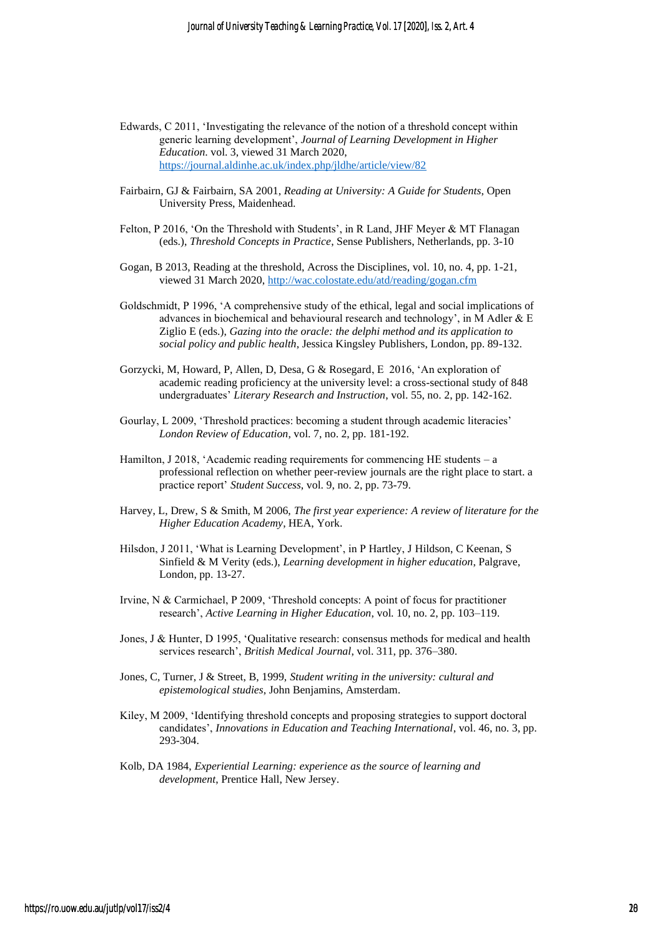- Edwards, C 2011, 'Investigating the relevance of the notion of a threshold concept within generic learning development', *Journal of Learning Development in Higher Education*. vol. 3, viewed 31 March 2020, <https://journal.aldinhe.ac.uk/index.php/jldhe/article/view/82>
- Fairbairn, GJ & Fairbairn, SA 2001, *Reading at University: A Guide for Students*, Open University Press, Maidenhead.
- Felton, P 2016, 'On the Threshold with Students', in R Land, JHF Meyer & MT Flanagan (eds.), *Threshold Concepts in Practice*, Sense Publishers, Netherlands, pp. 3-10
- Gogan, B 2013, Reading at the threshold, Across the Disciplines, vol. 10, no. 4, pp. 1-21, viewed 31 March 2020[, http://wac.colostate.edu/atd/reading/gogan.cfm](http://wac.colostate.edu/atd/reading/gogan.cfm)
- Goldschmidt, P 1996, 'A comprehensive study of the ethical, legal and social implications of advances in biochemical and behavioural research and technology', in M Adler & E Ziglio E (eds.), *Gazing into the oracle: the delphi method and its application to social policy and public health*, Jessica Kingsley Publishers, London, pp. 89-132.
- Gorzycki, M, Howard, P, Allen, D, Desa, G & Rosegard, E 2016, 'An exploration of academic reading proficiency at the university level: a cross-sectional study of 848 undergraduates' *Literary Research and Instruction*, vol. 55, no. 2, pp. 142-162.
- Gourlay, L 2009, 'Threshold practices: becoming a student through academic literacies' *London Review of Education*, vol. 7, no. 2, pp. 181-192.
- Hamilton, J 2018, 'Academic reading requirements for commencing HE students a professional reflection on whether peer-review journals are the right place to start. a practice report' *Student Success*, vol. 9, no. 2, pp. 73-79.
- Harvey, L, Drew, S & Smith, M 2006, *The first year experience: A review of literature for the Higher Education Academy*, HEA, York.
- Hilsdon, J 2011, 'What is Learning Development', in P Hartley, J Hildson, C Keenan, S Sinfield & M Verity (eds.), *Learning development in higher education*, Palgrave, London, pp. 13-27.
- Irvine, N & Carmichael, P 2009, 'Threshold concepts: A point of focus for practitioner research', *Active Learning in Higher Education*, vol. 10, no. 2, pp. 103–119.
- Jones, J & Hunter, D 1995, 'Qualitative research: consensus methods for medical and health services research', *British Medical Journal*, vol. 311, pp. 376–380.
- Jones, C, Turner, J & Street, B, 1999, *Student writing in the university: cultural and epistemological studies*, John Benjamins, Amsterdam.
- Kiley, M 2009, 'Identifying threshold concepts and proposing strategies to support doctoral candidates', *Innovations in Education and Teaching International*, vol. 46, no. 3, pp. 293-304.
- Kolb, DA 1984, *Experiential Learning: experience as the source of learning and development*, Prentice Hall, New Jersey.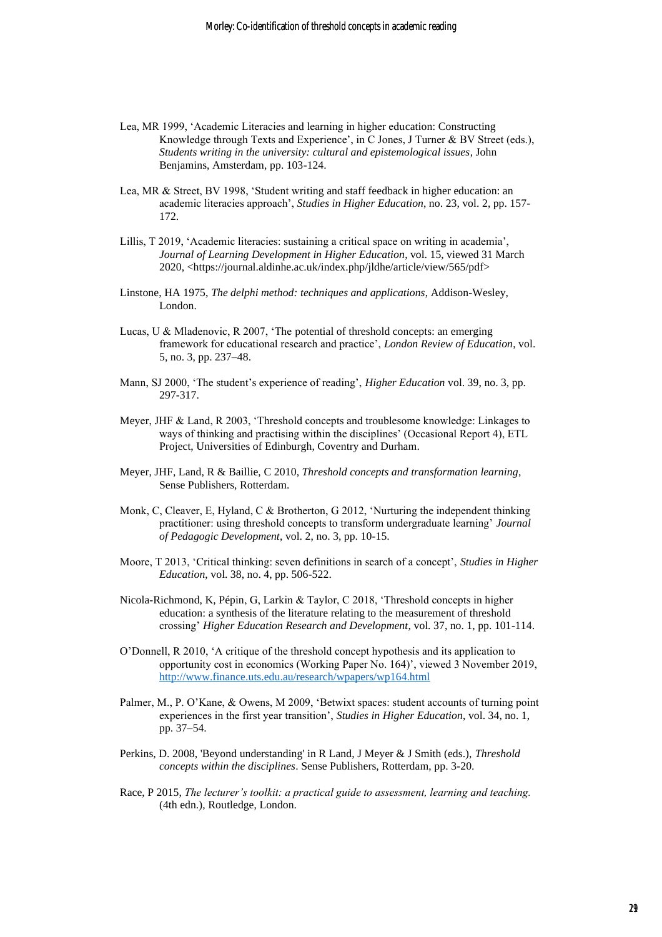- Lea, MR 1999, 'Academic Literacies and learning in higher education: Constructing Knowledge through Texts and Experience', in C Jones, J Turner & BV Street (eds.), *Students writing in the university: cultural and epistemological issues*, John Benjamins, Amsterdam, pp. 103-124.
- Lea, MR & Street, BV 1998, 'Student writing and staff feedback in higher education: an academic literacies approach', *Studies in Higher Education*, no. 23, vol. 2, pp. 157- 172.
- Lillis, T 2019, 'Academic literacies: sustaining a critical space on writing in academia', *Journal of Learning Development in Higher Education*, vol. 15, viewed 31 March 2020, <https://journal.aldinhe.ac.uk/index.php/jldhe/article/view/565/pdf>
- Linstone, HA 1975, *The delphi method: techniques and applications*, Addison-Wesley, London.
- Lucas, U & Mladenovic, R 2007, 'The potential of threshold concepts: an emerging framework for educational research and practice', *London Review of Education*, vol. 5, no. 3, pp. 237–48.
- Mann, SJ 2000, 'The student's experience of reading', *Higher Education* vol. 39, no. 3, pp. 297-317.
- Meyer, JHF & Land, R 2003, 'Threshold concepts and troublesome knowledge: Linkages to ways of thinking and practising within the disciplines' (Occasional Report 4), ETL Project, Universities of Edinburgh, Coventry and Durham.
- Meyer, JHF, Land, R & Baillie, C 2010, *Threshold concepts and transformation learning*, Sense Publishers, Rotterdam.
- Monk, C, Cleaver, E, Hyland, C & Brotherton, G 2012, 'Nurturing the independent thinking practitioner: using threshold concepts to transform undergraduate learning' *Journal of Pedagogic Development*, vol. 2, no. 3, pp. 10-15.
- Moore, T 2013, 'Critical thinking: seven definitions in search of a concept', *Studies in Higher Education*, vol. 38, no. 4, pp. 506-522.
- Nicola-Richmond, K, Pépin, G, Larkin & Taylor, C 2018, 'Threshold concepts in higher education: a synthesis of the literature relating to the measurement of threshold crossing' *Higher Education Research and Development*, vol. 37, no. 1, pp. 101-114.
- O'Donnell, R 2010, 'A critique of the threshold concept hypothesis and its application to opportunity cost in economics (Working Paper No. 164)', viewed 3 November 2019, <http://www.finance.uts.edu.au/research/wpapers/wp164.html>
- Palmer, M., P. O'Kane, & Owens, M 2009, 'Betwixt spaces: student accounts of turning point experiences in the first year transition', *Studies in Higher Education*, vol. 34, no. 1, pp. 37–54.
- Perkins, D. 2008, 'Beyond understanding' in R Land, J Meyer & J Smith (eds.), *Threshold concepts within the disciplines*. Sense Publishers, Rotterdam, pp. 3-20.
- Race, P 2015, *The lecturer's toolkit: a practical guide to assessment, learning and teaching.* (4th edn.), Routledge, London.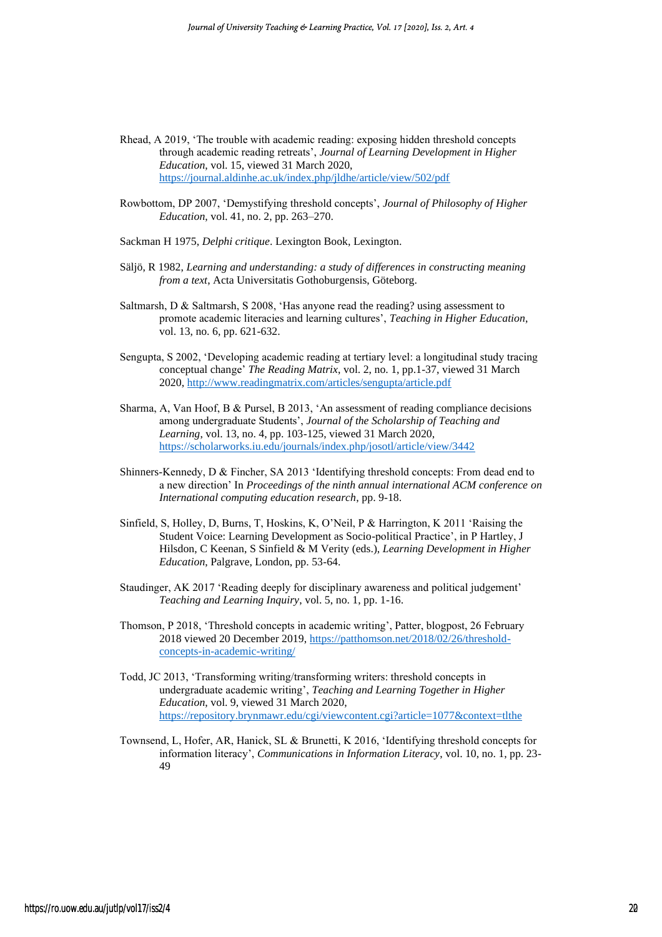- Rhead, A 2019, 'The trouble with academic reading: exposing hidden threshold concepts through academic reading retreats', *Journal of Learning Development in Higher Education*, vol. 15, viewed 31 March 2020, <https://journal.aldinhe.ac.uk/index.php/jldhe/article/view/502/pdf>
- Rowbottom, DP 2007, 'Demystifying threshold concepts', *Journal of Philosophy of Higher Education*, vol. 41, no. 2, pp. 263–270.
- Sackman H 1975, *Delphi critique*. Lexington Book, Lexington.
- Säljö, R 1982, *Learning and understanding: a study of differences in constructing meaning from a text*, Acta Universitatis Gothoburgensis, Göteborg.
- Saltmarsh, D & Saltmarsh, S 2008, 'Has anyone read the reading? using assessment to promote academic literacies and learning cultures', *Teaching in Higher Education*, vol. 13, no. 6, pp. 621-632.
- Sengupta, S 2002, 'Developing academic reading at tertiary level: a longitudinal study tracing conceptual change' *The Reading Matrix*, vol. 2, no. 1, pp.1-37, viewed 31 March 2020,<http://www.readingmatrix.com/articles/sengupta/article.pdf>
- Sharma, A, Van Hoof, B & Pursel, B 2013, 'An assessment of reading compliance decisions among undergraduate Students', *Journal of the Scholarship of Teaching and Learning*, vol. 13, no. 4, pp. 103-125, viewed 31 March 2020, <https://scholarworks.iu.edu/journals/index.php/josotl/article/view/3442>
- Shinners-Kennedy, D & Fincher, SA 2013 'Identifying threshold concepts: From dead end to a new direction' In *Proceedings of the ninth annual international ACM conference on International computing education research*, pp. 9-18.
- Sinfield, S, Holley, D, Burns, T, Hoskins, K, O'Neil, P & Harrington, K 2011 'Raising the Student Voice: Learning Development as Socio-political Practice', in P Hartley, J Hilsdon, C Keenan, S Sinfield & M Verity (eds.), *Learning Development in Higher Education*, Palgrave, London, pp. 53-64.
- Staudinger, AK 2017 'Reading deeply for disciplinary awareness and political judgement' *Teaching and Learning Inquiry*, vol. 5, no. 1, pp. 1-16.
- Thomson, P 2018, 'Threshold concepts in academic writing', Patter, blogpost, 26 February 2018 viewed 20 December 2019, [https://patthomson.net/2018/02/26/threshold](https://patthomson.net/2018/02/26/threshold-concepts-in-academic-writing/)[concepts-in-academic-writing/](https://patthomson.net/2018/02/26/threshold-concepts-in-academic-writing/)
- Todd, JC 2013, 'Transforming writing/transforming writers: threshold concepts in undergraduate academic writing', *Teaching and Learning Together in Higher Education*, vol. 9, viewed 31 March 2020, <https://repository.brynmawr.edu/cgi/viewcontent.cgi?article=1077&context=tlthe>
- Townsend, L, Hofer, AR, Hanick, SL & Brunetti, K 2016, 'Identifying threshold concepts for information literacy', *Communications in Information Literacy*, vol. 10, no. 1, pp. 23- 49